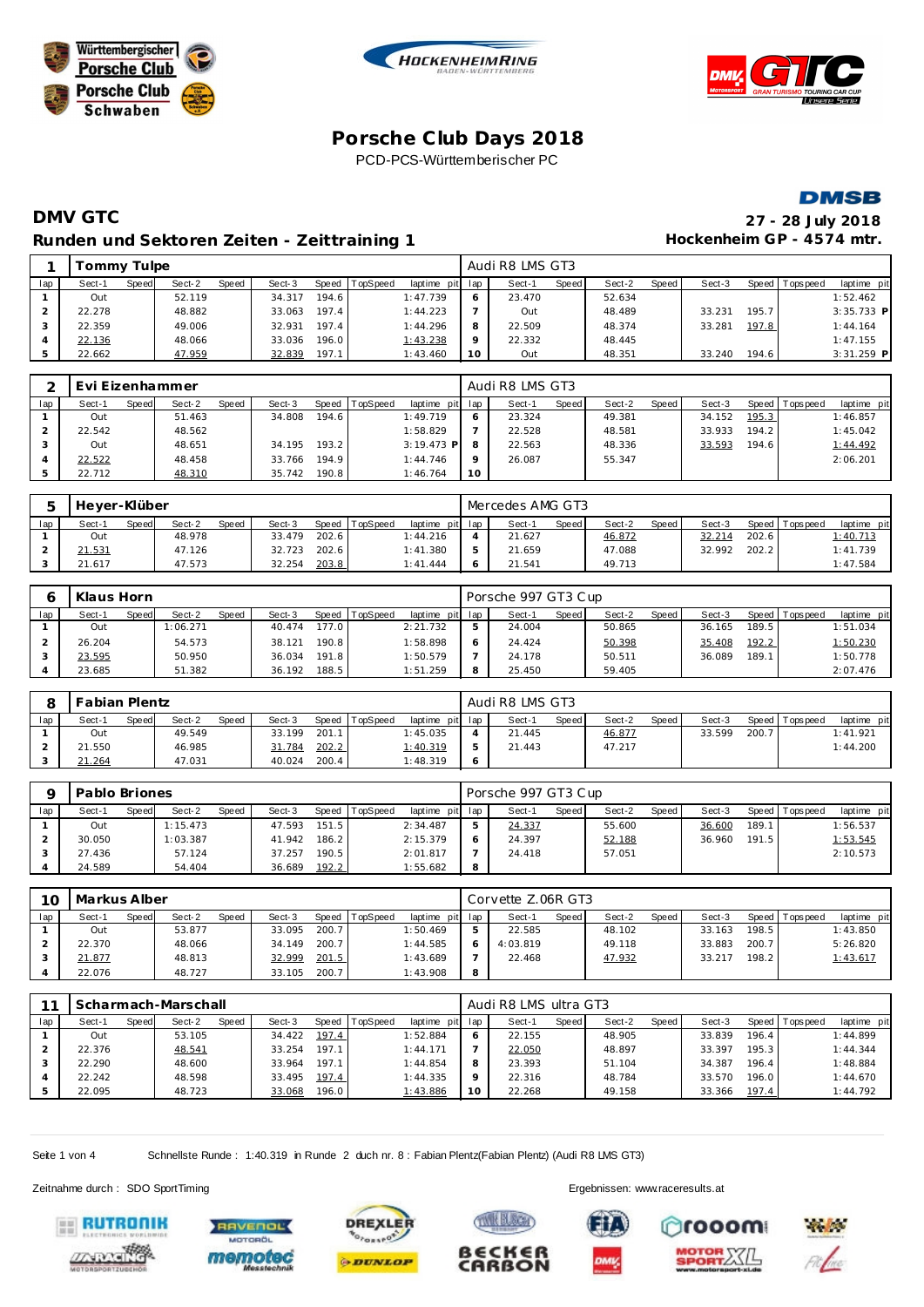







# **DMV GTC 27 - 28 July 2018 Runden und Sektoren Zeiten - Zeittraining 1**

| 27 - 28 July 2018         |
|---------------------------|
| Hockenheim GP - 4574 mtr. |

|     | Tommy Tulpe |       |        |       |        |       |          |                 |         | Audi R8 LMS GT3 |       |        |       |        |       |                 |              |
|-----|-------------|-------|--------|-------|--------|-------|----------|-----------------|---------|-----------------|-------|--------|-------|--------|-------|-----------------|--------------|
| lap | Sect-1      | Speed | Sect-2 | Speed | Sect-3 | Speed | TopSpeed | laptime pit lap |         | Sect-1          | Speed | Sect-2 | Speed | Sect-3 |       | Speed Tops peed | laptime pit  |
|     | Out         |       | 52.119 |       | 34.317 | 194.6 |          | 1:47.739        |         | 23.470          |       | 52.634 |       |        |       |                 | 1:52.462     |
|     | 22.278      |       | 48.882 |       | 33.063 | 197.4 |          | 1:44.223        |         | Out             |       | 48.489 |       | 33.231 | 195.7 |                 | $3:35.733$ P |
|     | 22.359      |       | 49.006 |       | 32.931 | 197.4 |          | 1:44.296        |         | 22.509          |       | 48.374 |       | 33.281 | 197.8 |                 | 1:44.164     |
|     | 22.136      |       | 48.066 |       | 33.036 | 196.0 |          | 1:43.238        | $\circ$ | 22.332          |       | 48.445 |       |        |       |                 | 1:47.155     |
|     | 22.662      |       | 47.959 |       | 32.839 | 197.1 |          | 1:43.460        |         | Out             |       | 48.351 |       | 33.240 | 194.6 |                 | $3:31.259$ P |

|     | Evi Eizenhammer |       |        |       |        |       |          |                 |         | Audi R8 LMS GT3 |       |        |       |        |       |                |             |
|-----|-----------------|-------|--------|-------|--------|-------|----------|-----------------|---------|-----------------|-------|--------|-------|--------|-------|----------------|-------------|
| lap | Sect-1          | Speed | Sect-2 | Speed | Sect-3 | Speed | TopSpeed | laptime pit lap |         | Sect-1          | Speed | Sect-2 | Speed | Sect-3 |       | Speed Topspeed | laptime pit |
|     | Out             |       | 51.463 |       | 34.808 | 194.6 |          | 1:49.719        | 6       | 23.324          |       | 49.381 |       | 34.152 | 195.3 |                | 1:46.857    |
|     | 22.542          |       | 48.562 |       |        |       |          | 1:58.829        |         | 22.528          |       | 48.581 |       | 33.933 | 194.2 |                | 1:45.042    |
|     | Out             |       | 48.651 |       | 34.195 | 193.2 |          | $3:19.473$ P    | 8       | 22.563          |       | 48.336 |       | 33.593 | 194.6 |                | 1:44.492    |
|     | 22.522          |       | 48.458 |       | 33.766 | 194.9 |          | 1:44.746        | $\circ$ | 26.087          |       | 55.347 |       |        |       |                | 2:06.201    |
|     | 22.712          |       | 48.310 |       | 35.742 | 190.8 |          | 1:46.764        | 10      |                 |       |        |       |        |       |                |             |

|     | Hever-Klüber |       |        |              |        |       |          |                 | Mercedes AMG GT3 |       |        |       |        |       |                |                 |
|-----|--------------|-------|--------|--------------|--------|-------|----------|-----------------|------------------|-------|--------|-------|--------|-------|----------------|-----------------|
| lap | Sect-1       | Speed | Sect-2 | <b>Speed</b> | Sect-3 | Speed | TopSpeed | laptime pit lap | Sect-1           | Speed | Sect-2 | Speed | Sect-3 |       | Speed Topspeed | laptime pit     |
|     | Out          |       | 48.978 |              | 33.479 | 202.6 |          | 1:44.216        | 21.627           |       | 46.872 |       | 32.214 | 202.6 |                | <u>1:40.713</u> |
|     | 21.531       |       | 47.126 |              | 32.723 | 202.6 |          | 1:41.380        | 21.659           |       | 47.088 |       | 32.992 | 202.2 |                | 1:41.739        |
|     | 21.617       |       | 47.573 |              | 32.254 | 203.8 |          | 1: 41.444       | 21.541           |       | 49.713 |       |        |       |                | 1:47.584        |

|     | Klaus Horn |       |          |              |        |       |          |                 | Porsche 997 GT3 Cup |       |        |       |        |       |                 |             |
|-----|------------|-------|----------|--------------|--------|-------|----------|-----------------|---------------------|-------|--------|-------|--------|-------|-----------------|-------------|
| lap | Sect-1     | Speed | Sect-2   | <b>Speed</b> | Sect-3 | Speed | TopSpeed | laptime pit lap | Sect-1              | Speed | Sect-2 | Speed | Sect-3 |       | Speed Tops peed | laptime pit |
|     | Out        |       | 1:06.271 |              | 40.474 | 177.0 |          | 2:21.732        | 24.004              |       | 50.865 |       | 36.165 | 189.5 |                 | 1:51.034    |
|     | 26.204     |       | 54.573   |              | 38.121 | 190.8 |          | 1:58.898        | 24.424              |       | 50.398 |       | 35.408 | 192.2 |                 | 1:50.230    |
|     | 23.595     |       | 50.950   |              | 36.034 | 191.8 |          | 1:50.579        | 24.178              |       | 50.511 |       | 36.089 | 189.1 |                 | 1:50.778    |
|     | 23.685     |       | 51.382   |              | 36.192 | 188.5 |          | 1:51.259        | 25.450              |       | 59.405 |       |        |       |                 | 2:07.476    |

|     | Fabian Plentz |              |        |              |        |       |          |                 |   | Audi R8 LMS GT3 |              |        |              |        |       |                |             |
|-----|---------------|--------------|--------|--------------|--------|-------|----------|-----------------|---|-----------------|--------------|--------|--------------|--------|-------|----------------|-------------|
| lap | Sect-1        | <b>Speed</b> | Sect-2 | <b>Speed</b> | Sect-3 | Speed | TopSpeed | laptime pit lap |   | Sect-1          | <b>Speed</b> | Sect-2 | <b>Speed</b> | Sect-3 |       | Speed Topspeed | laptime pit |
|     | Out           |              | 49.549 |              | 33.199 | 201.1 |          | 1:45.035        |   | 21.445          |              | 46.877 |              | 33.599 | 200.7 |                | 1:41.921    |
|     | 21.550        |              | 46.985 |              | 31.784 | 202.2 |          | <u>1:40.319</u> | 5 | 21.443          |              | 47.217 |              |        |       |                | 1:44.200    |
|     | 21.264        |              | 47.031 |              | 40.024 | 200.4 |          | 1:48.319        | Ć |                 |              |        |              |        |       |                |             |

|     | Pablo Briones |       |          |       |        |       |                |                 | Porsche 997 GT3 Cup |       |        |       |        |       |                 |             |
|-----|---------------|-------|----------|-------|--------|-------|----------------|-----------------|---------------------|-------|--------|-------|--------|-------|-----------------|-------------|
| lap | Sect-1        | Speed | Sect-2   | Speed | Sect-3 |       | Speed TopSpeed | laptime pit lap | Sect-1              | Speed | Sect-2 | Speed | Sect-3 |       | Speed Tops peed | laptime pit |
|     | Out           |       | 1:15.473 |       | 47.593 | 151.5 |                | 2:34.487        | 24.337              |       | 55.600 |       | 36.600 | 189.1 |                 | 1:56.537    |
|     | 30.050        |       | 1:03.387 |       | 41.942 | 186.2 |                | 2:15.379        | 24.397              |       | 52.188 |       | 36.960 | 191.5 |                 | 1:53.545    |
|     | 27.436        |       | 57.124   |       | 37.257 | 190.5 |                | 2:01.817        | 24.418              |       | 57.051 |       |        |       |                 | 2:10.573    |
|     | 24.589        |       | 54.404   |       | 36.689 | 192.2 |                | 1:55.682        |                     |       |        |       |        |       |                 |             |

| 10  | l Markus Alber |       |        |              |        |       |                |                 |   | Corvette Z.06R GT3 |       |        |       |        |       |                 |             |
|-----|----------------|-------|--------|--------------|--------|-------|----------------|-----------------|---|--------------------|-------|--------|-------|--------|-------|-----------------|-------------|
| lap | Sect-1         | Speed | Sect-2 | <b>Speed</b> | Sect-3 |       | Speed TopSpeed | laptime pit lap |   | Sect-1             | Speed | Sect-2 | Speed | Sect-3 |       | Speed Tops peed | laptime pit |
|     | Out            |       | 53.877 |              | 33.095 | 200.7 |                | 1:50.469        |   | 22.585             |       | 48.102 |       | 33.163 | 198.5 |                 | 1:43.850    |
|     | 22.370         |       | 48.066 |              | 34.149 | 200.7 |                | 1:44.585        |   | 4:03.819           |       | 49.118 |       | 33.883 | 200.7 |                 | 5:26.820    |
|     | 21.877         |       | 48.813 |              | 32.999 | 201.5 |                | 1:43.689        |   | 22.468             |       | 47.932 |       | 33.217 | 198.2 |                 | 1:43.617    |
|     | 22.076         |       | 48.727 |              | 33.105 | 200.7 |                | 1:43.908        | 8 |                    |       |        |       |        |       |                 |             |

|     |        |              | Scharmach-Marschall |       |        |       |                 |             |         | Audi R8 LMS ultra GT3 |              |        |       |        |       |                |             |
|-----|--------|--------------|---------------------|-------|--------|-------|-----------------|-------------|---------|-----------------------|--------------|--------|-------|--------|-------|----------------|-------------|
| lap | Sect-1 | <b>Speed</b> | Sect-2              | Speed | Sect-3 | Speed | <b>TopSpeed</b> | laptime pit | lap     | Sect-1                | <b>Speed</b> | Sect-2 | Speed | Sect-3 |       | Speed Topspeed | laptime pit |
|     | Out    |              | 53.105              |       | 34.422 | 197.4 |                 | 1:52.884    | 6       | 22.155                |              | 48.905 |       | 33.839 | 196.4 |                | 1:44.899    |
|     | 22.376 |              | 48.541              |       | 33.254 | 197.1 |                 | 1:44.171    |         | 22.050                |              | 48.897 |       | 33.397 | 195.3 |                | 1:44.344    |
|     | 22.290 |              | 48.600              |       | 33.964 | 197.1 |                 | 1:44.854    | 8       | 23.393                |              | 51.104 |       | 34.387 | 196.4 |                | 1:48.884    |
|     | 22.242 |              | 48.598              |       | 33.495 | 197.4 |                 | 1:44.335    | $\circ$ | 22.316                |              | 48.784 |       | 33.570 | 196.0 |                | 1:44.670    |
|     | 22.095 |              | 48.723              |       | 33.068 | 196.0 |                 | 1:43.886    | 10      | 22.268                |              | 49.158 |       | 33.366 | 197.4 |                | 1:44.792    |

**TWIK BLOOM** 

B∈CK∈f

CARBON

Seite 1 von 4 Schnellste Runde : 1:40.319 in Runde 2 duch nr. 8 : Fabian Plentz(Fabian Plentz) (Audi R8 LMS GT3)









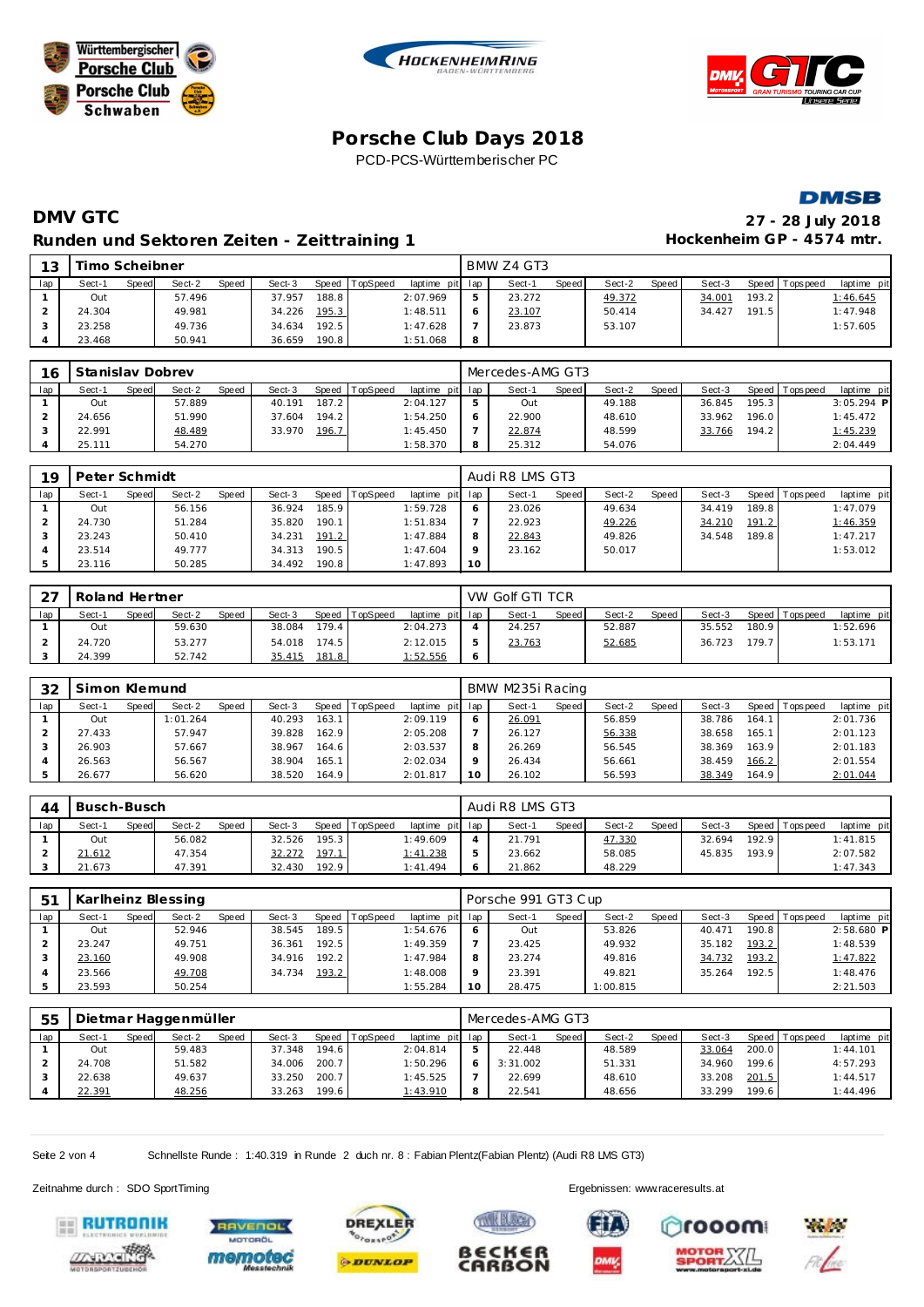







# **DMV GTC 27 - 28 July 2018 Runden und Sektoren Zeiten - Zeittraining 1**

| 27 - 28 July 2018         |
|---------------------------|
| Hockenheim GP - 4574 mtr. |

| 13  | Timo Scheibner |       |        |       |        |       |          |                 |   | BMW Z4 GT3 |       |        |       |        |       |                 |             |
|-----|----------------|-------|--------|-------|--------|-------|----------|-----------------|---|------------|-------|--------|-------|--------|-------|-----------------|-------------|
| lap | Sect-1         | Speed | Sect-2 | Speed | Sect-3 | Speed | TopSpeed | laptime pit lap |   | Sect-1     | Speed | Sect-2 | Speed | Sect-3 |       | Speed Tops peed | laptime pit |
|     | Out            |       | 57.496 |       | 37.957 | 188.8 |          | 2:07.969        |   | 23.272     |       | 49.372 |       | 34.001 | 193.2 |                 | 1:46.645    |
|     | 24.304         |       | 49.981 |       | 34.226 | 195.3 |          | 1:48.511        |   | 23.107     |       | 50.414 |       | 34.427 | 191.5 |                 | 1:47.948    |
|     | 23.258         |       | 49.736 |       | 34.634 | 192.5 |          | 1:47.628        |   | 23.873     |       | 53.107 |       |        |       |                 | 1:57.605    |
|     | 23.468         |       | 50.941 |       | 36.659 | 190.8 |          | 1:51.068        | 8 |            |       |        |       |        |       |                 |             |

| 16  | Stanislav Dobrev |       |        |              |        |       |          |                 | Mercedes-AMG GT3 |       |        |       |        |       |                   |              |
|-----|------------------|-------|--------|--------------|--------|-------|----------|-----------------|------------------|-------|--------|-------|--------|-------|-------------------|--------------|
| lap | Sect-1           | Speed | Sect-2 | <b>Speed</b> | Sect-3 | Speed | TopSpeed | laptime pit lap | Sect-1           | Speed | Sect-2 | Speed | Sect-3 |       | Speed   Tops peed | laptime pit  |
|     | Out              |       | 57.889 |              | 40.191 | 187.2 |          | 2:04.127        | Out              |       | 49.188 |       | 36.845 | 195.3 |                   | $3:05.294$ P |
|     | 24.656           |       | 51.990 |              | 37.604 | 194.2 |          | 1:54.250        | 22.900           |       | 48.610 |       | 33.962 | 196.0 |                   | 1:45.472     |
|     | 22.991           |       | 48.489 |              | 33.970 | 196.7 |          | 1:45.450        | 22.874           |       | 48.599 |       | 33.766 | 194.2 |                   | 1:45.239     |
|     | 25.111           |       | 54.270 |              |        |       |          | 1:58.370        | 25.312           |       | 54.076 |       |        |       |                   | 2:04.449     |

| 19  | Peter Schmidt |       |        |       |        |       |                |                 |    | Audi R8 LMS GT3 |       |        |       |        |       |                 |             |
|-----|---------------|-------|--------|-------|--------|-------|----------------|-----------------|----|-----------------|-------|--------|-------|--------|-------|-----------------|-------------|
| lap | Sect-1        | Speed | Sect-2 | Speed | Sect-3 |       | Speed TopSpeed | laptime pit lap |    | Sect-1          | Speed | Sect-2 | Speed | Sect-3 |       | Speed Tops peed | laptime pit |
|     | Out           |       | 56.156 |       | 36.924 | 185.9 |                | 1:59.728        | O  | 23.026          |       | 49.634 |       | 34.419 | 189.8 |                 | 1:47.079    |
|     | 24.730        |       | 51.284 |       | 35.820 | 190.1 |                | 1:51.834        |    | 22.923          |       | 49.226 |       | 34.210 | 191.2 |                 | 1:46.359    |
|     | 23.243        |       | 50.410 |       | 34.231 | 191.2 |                | 1:47.884        | 8  | 22.843          |       | 49.826 |       | 34.548 | 189.8 |                 | 1:47.217    |
|     | 23.514        |       | 49.777 |       | 34.313 | 190.5 |                | 1:47.604        | Q  | 23.162          |       | 50.017 |       |        |       |                 | 1:53.012    |
|     | 23.116        |       | 50.285 |       | 34.492 | 190.8 |                | 1:47.893        | 10 |                 |       |        |       |        |       |                 |             |

| $\cap$ | Roland Hertner |       |        |       |        |       |                |                 | VW Golf GTI TCR |       |        |         |        |       |                 |             |
|--------|----------------|-------|--------|-------|--------|-------|----------------|-----------------|-----------------|-------|--------|---------|--------|-------|-----------------|-------------|
| lap    | Sect-1         | Speed | Sect-2 | Speed | Sect-3 |       | Speed TopSpeed | laptime pit lap | Sect-1          | Speed | Sect-2 | Speed I | Sect-3 |       | Speed Tops peed | laptime pit |
|        | Out            |       | 59.630 |       | 38.084 | 179.4 |                | 2:04.273        | 24.257          |       | 52.887 |         | 35.552 | 180.9 |                 | 1:52.696    |
|        | 24.720         |       | 53.277 |       | 54.018 | 174.5 |                | 2:12.015        | 23.763          |       | 52.685 |         | 36.723 | 179.7 |                 | 1:53.171    |
|        | 24.399         |       | 52.742 |       | 35.415 | 181.8 |                | 1:52.556        |                 |       |        |         |        |       |                 |             |

| 32  | Simon Klemund |       |          |       |        |       |          |                 |    | BMW M235i Racing |       |        |       |        |       |                |             |
|-----|---------------|-------|----------|-------|--------|-------|----------|-----------------|----|------------------|-------|--------|-------|--------|-------|----------------|-------------|
| lap | Sect-1        | Speed | Sect-2   | Speed | Sect-3 | Speed | TopSpeed | laptime pit lap |    | Sect-1           | Speed | Sect-2 | Speed | Sect-3 |       | Speed Topspeed | laptime pit |
|     | Out           |       | 1:01.264 |       | 40.293 | 163.1 |          | 2:09.119        |    | 26.091           |       | 56.859 |       | 38.786 | 164.1 |                | 2:01.736    |
|     | 27.433        |       | 57.947   |       | 39.828 | 162.9 |          | 2:05.208        |    | 26.127           |       | 56.338 |       | 38.658 | 165.1 |                | 2:01.123    |
|     | 26.903        |       | 57.667   |       | 38.967 | 164.6 |          | 2:03.537        | 8  | 26.269           |       | 56.545 |       | 38.369 | 163.9 |                | 2:01.183    |
|     | 26.563        |       | 56.567   |       | 38.904 | 165.1 |          | 2:02.034        |    | 26.434           |       | 56.661 |       | 38.459 | 166.2 |                | 2:01.554    |
|     | 26.677        |       | 56.620   |       | 38.520 | 164.9 |          | 2:01.817        | 10 | 26.102           |       | 56.593 |       | 38.349 | 164.9 |                | 2:01.044    |

| 44  | Busch-Busch |              |        |              |        |       |          |                 |   | Audi R8 LMS GT3 |              |        |       |        |       |                 |             |
|-----|-------------|--------------|--------|--------------|--------|-------|----------|-----------------|---|-----------------|--------------|--------|-------|--------|-------|-----------------|-------------|
| lap | Sect-1      | <b>Speed</b> | Sect-2 | <b>Speed</b> | Sect-3 | Speed | TopSpeed | laptime pit lap |   | Sect-1          | <b>Speed</b> | Sect-2 | Speed | Sect-3 |       | Speed Tops peed | laptime pit |
|     | Out         |              | 56.082 |              | 32.526 | 195.3 |          | 1:49.609        |   | 21.791          |              | 47.330 |       | 32.694 | 192.9 |                 | 1:41.815    |
|     | 21.612      |              | 47.354 |              | 32.272 | 197.1 |          | 1:41.238        | 5 | 23.662          |              | 58.085 |       | 45.835 | 193.9 |                 | 2:07.582    |
|     | 21.673      |              | 47.391 |              | 32.430 | 192.9 |          | 1:41.494        |   | 21.862          |              | 48.229 |       |        |       |                 | 1:47.343    |

| $-51$ |        |       | Karlheinz Blessing |       |        |       |          |                 |    | Porsche 991 GT3 Cup |       |          |       |        |       |                 |              |
|-------|--------|-------|--------------------|-------|--------|-------|----------|-----------------|----|---------------------|-------|----------|-------|--------|-------|-----------------|--------------|
| lap   | Sect-1 | Speed | Sect-2             | Speed | Sect-3 | Speed | TopSpeed | laptime pit lap |    | Sect-1              | Speed | Sect-2   | Speed | Sect-3 |       | Speed Tops peed | laptime pit  |
|       | Out    |       | 52.946             |       | 38.545 | 189.5 |          | 1:54.676        |    | Out                 |       | 53.826   |       | 40.471 | 190.8 |                 | $2:58.680$ P |
|       | 23.247 |       | 49.751             |       | 36.361 | 192.5 |          | 1:49.359        |    | 23.425              |       | 49.932   |       | 35.182 | 193.2 |                 | 1:48.539     |
|       | 23.160 |       | 49.908             |       | 34.916 | 192.2 |          | 1:47.984        |    | 23.274              |       | 49.816   |       | 34.732 | 193.2 |                 | 1:47.822     |
|       | 23.566 |       | 49.708             |       | 34.734 | 193.2 |          | 1:48.008        |    | 23.391              |       | 49.821   |       | 35.264 | 192.5 |                 | 1:48.476     |
|       | 23.593 |       | 50.254             |       |        |       |          | 1:55.284        | 10 | 28.475              |       | 1:00.815 |       |        |       |                 | 2:21.503     |

| 55  |        |       | Dietmar Haggenmüller |              |        |       |                |             |     | Mercedes-AMG GT3 |              |        |       |        |       |                |             |
|-----|--------|-------|----------------------|--------------|--------|-------|----------------|-------------|-----|------------------|--------------|--------|-------|--------|-------|----------------|-------------|
| lap | Sect-1 | Speed | Sect-2               | <b>Speed</b> | Sect-3 |       | Speed TopSpeed | laptime pit | lap | Sect-1           | <b>Speed</b> | Sect-2 | Speed | Sect-3 |       | Speed Topspeed | laptime pit |
|     | Out    |       | 59.483               |              | 37.348 | 194.6 |                | 2:04.814    |     | 22.448           |              | 48.589 |       | 33.064 | 200.0 |                | 1:44.101    |
|     | 24.708 |       | 51.582               |              | 34.006 | 200.7 |                | 1:50.296    |     | 3:31.002         |              | 51.331 |       | 34.960 | 199.6 |                | 4:57.293    |
|     | 22.638 |       | 49.637               |              | 33.250 | 200.7 |                | 1:45.525    |     | 22.699           |              | 48.610 |       | 33.208 | 201.5 |                | 1:44.517    |
|     | 22.391 |       | 48.256               |              | 33.263 | 199.6 |                | 1:43.910    | 8   | 22.541           |              | 48.656 |       | 33.299 | 199.6 |                | 1:44.496    |

B€CK€F

CARBON

Seite 2 von 4 Schnellste Runde : 1:40.319 in Runde 2 duch nr. 8 : Fabian Plentz(Fabian Plentz) (Audi R8 LMS GT3)











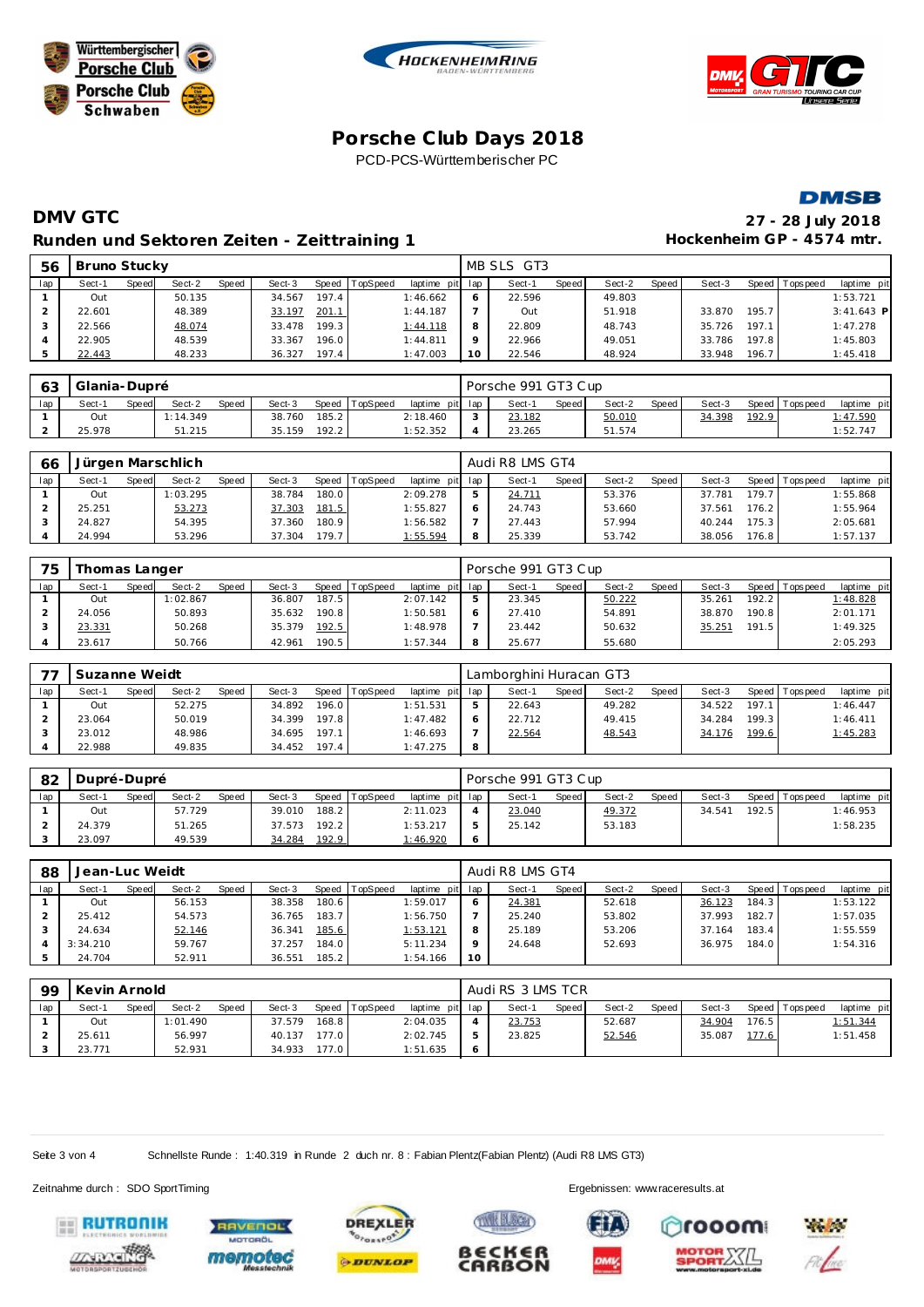







## **DMV GTC 27 - 28 July 2018** Runden und Sektoren Zeiten - Zeittraining 1 **Beiser Einer Einer Hockenheim GP** - 4574 mtr.

| 56  | Bruno Stucky |       |        |       |        |       |          |                 |         | MB SLS GT3 |       |        |       |        |       |                |              |
|-----|--------------|-------|--------|-------|--------|-------|----------|-----------------|---------|------------|-------|--------|-------|--------|-------|----------------|--------------|
| lap | Sect-1       | Speed | Sect-2 | Speed | Sect-3 | Speed | TopSpeed | laptime pit lap |         | Sect-1     | Speed | Sect-2 | Speed | Sect-3 |       | Speed Topspeed | laptime pit  |
|     | Out          |       | 50.135 |       | 34.567 | 197.4 |          | 1:46.662        |         | 22.596     |       | 49.803 |       |        |       |                | 1:53.721     |
|     | 22.601       |       | 48.389 |       | 33.197 | 201.1 |          | 1:44.187        |         | Out        |       | 51.918 |       | 33.870 | 195.7 |                | $3:41.643$ P |
|     | 22.566       |       | 48.074 |       | 33.478 | 199.3 |          | 1:44.118        |         | 22.809     |       | 48.743 |       | 35.726 | 197.1 |                | 1:47.278     |
|     | 22.905       |       | 48.539 |       | 33.367 | 196.0 |          | 1:44.811        | $\circ$ | 22.966     |       | 49.051 |       | 33.786 | 197.8 |                | 1:45.803     |
|     | 22.443       |       | 48.233 |       | 36.327 | 197.4 |          | 1:47.003        |         | 22.546     |       | 48.924 |       | 33.948 | 196.7 |                | 1:45.418     |

| $\sqrt{2}$<br>оз | Glania-Dupré |              |          |              |        |       |                |                 |        | Porsche 991 GT3 Cup |       |        |       |        |       |                |             |
|------------------|--------------|--------------|----------|--------------|--------|-------|----------------|-----------------|--------|---------------------|-------|--------|-------|--------|-------|----------------|-------------|
| lap              | Sect-1       | <b>Speed</b> | Sect-2   | <b>Speed</b> | Sect-3 |       | Speed TopSpeed | laptime pit lap |        | Sect-               | Speed | Sect-2 | Speed | Sect-3 |       | Speed Topspeed | laptime pit |
|                  | Out          |              | 1:14.349 |              | 38.760 | 185.2 |                | 2:18.460        | $\sim$ | 23.182              |       | 50.010 |       | 34.398 | 192.9 |                | 1:47.590    |
|                  | 25.978       |              | 51.215   |              | 35.159 | 192.2 |                | 1:52.352        |        | 23.265              |       | 51.574 |       |        |       |                | 1:52.747    |

| 66  |        |       | Jürgen Marschlich |              |        |       |                |                 | Audi R8 LMS GT4 |              |        |       |        |       |                   |             |
|-----|--------|-------|-------------------|--------------|--------|-------|----------------|-----------------|-----------------|--------------|--------|-------|--------|-------|-------------------|-------------|
| lap | Sect-1 | Speed | Sect-2            | <b>Speed</b> | Sect-3 |       | Speed TopSpeed | laptime pit lap | Sect-1          | <b>Speed</b> | Sect-2 | Speed | Sect-3 |       | Speed   Tops peed | laptime pit |
|     | Out    |       | 1:03.295          |              | 38.784 | 180.0 |                | 2:09.278        | 24.711          |              | 53.376 |       | 37.781 | 179.7 |                   | 1:55.868    |
|     | 25.251 |       | 53.273            |              | 37.303 | 181.5 |                | 1:55.827        | 24.743          |              | 53.660 |       | 37.561 | 176.2 |                   | 1:55.964    |
|     | 24.827 |       | 54.395            |              | 37.360 | 180.9 |                | 1:56.582        | 27.443          |              | 57.994 |       | 40.244 | 175.3 |                   | 2:05.681    |
|     | 24.994 |       | 53.296            |              | 37.304 | 179.7 |                | 1:55.594        | 25.339          |              | 53.742 |       | 38.056 | 176.8 |                   | 1:57.137    |

| 75  |        | Thomas Langer |          |              |        |       |                |                 |   | Porsche 991 GT3 Cup |       |        |       |        |       |                |             |
|-----|--------|---------------|----------|--------------|--------|-------|----------------|-----------------|---|---------------------|-------|--------|-------|--------|-------|----------------|-------------|
| lap | Sect-1 | <b>Speed</b>  | Sect-2   | <b>Speed</b> | Sect-3 |       | Speed TopSpeed | laptime pit lap |   | Sect-1              | Speed | Sect-2 | Speed | Sect-3 |       | Speed Topspeed | laptime pit |
|     | Out    |               | 1:02.867 |              | 36.807 | 187.5 |                | 2:07.142        | - | 23.345              |       | 50.222 |       | 35.261 | 192.2 |                | 1:48.828    |
|     | 24.056 |               | 50.893   |              | 35.632 | 190.8 |                | 1:50.581        |   | 27.410              |       | 54.891 |       | 38.870 | 190.8 |                | 2:01.171    |
|     | 23.331 |               | 50.268   |              | 35.379 | 192.5 |                | 1:48.978        |   | 23.442              |       | 50.632 |       | 35.251 | 191.5 |                | 1:49.325    |
|     | 23.617 |               | 50.766   |              | 42.961 | 190.5 |                | 1:57.344        | 8 | 25.677              |       | 55.680 |       |        |       |                | 2:05.293    |

|     | Suzanne Weidt |       |        |              |        |       |          |                 | Lamborghini Huracan GT3 |              |        |       |        |       |                |             |
|-----|---------------|-------|--------|--------------|--------|-------|----------|-----------------|-------------------------|--------------|--------|-------|--------|-------|----------------|-------------|
| lap | Sect-1        | Speed | Sect-2 | <b>Speed</b> | Sect-3 | Speed | TopSpeed | laptime pit lap | Sect-1                  | <b>Speed</b> | Sect-2 | Speed | Sect-3 |       | Speed Topspeed | laptime pit |
|     | Out           |       | 52.275 |              | 34.892 | 196.0 |          | 1:51.531        | 22.643                  |              | 49.282 |       | 34.522 | 197.1 |                | 1:46.447    |
|     | 23.064        |       | 50.019 |              | 34.399 | 197.8 |          | 1:47.482        | 22.712                  |              | 49.415 |       | 34.284 | 199.3 |                | 1:46.411    |
|     | 23.012        |       | 48.986 |              | 34.695 | 197.1 |          | 1:46.693        | 22.564                  |              | 48.543 |       | 34.176 | 199.6 |                | 1:45.283    |
|     | 22.988        |       | 49.835 |              | 34.452 | 197.4 |          | 1:47.275        |                         |              |        |       |        |       |                |             |

| 82  | Dupré-Dupré |       |        |       |        |       |          |                 | Porsche 991 GT3 Cup |       |        |       |        |        |                 |             |
|-----|-------------|-------|--------|-------|--------|-------|----------|-----------------|---------------------|-------|--------|-------|--------|--------|-----------------|-------------|
| lap | Sect-1      | Speed | Sect-2 | Speed | Sect-3 | Speed | TopSpeed | laptime pit lap | Sect-1              | Speed | Sect-2 | Speed | Sect-3 |        | Speed Tops peed | laptime pit |
|     | Out         |       | 57.729 |       | 39.010 | 188.2 |          | 2:11.023        | 23.040              |       | 49.372 |       | 34.541 | 192.51 |                 | 1:46.953    |
|     | 24.379      |       | 51.265 |       | 37.573 | 192.2 |          | 1:53.217        | 25.142              |       | 53.183 |       |        |        |                 | 1:58.235    |
|     | 23.097      |       | 49.539 |       | 34.284 | 192.9 |          | 1:46.920        |                     |       |        |       |        |        |                 |             |

| 88  | Jean-Luc Weidt |       |        |       |        |       |          |                 |    | Audi R8 LMS GT4 |       |        |       |        |       |                 |             |  |  |
|-----|----------------|-------|--------|-------|--------|-------|----------|-----------------|----|-----------------|-------|--------|-------|--------|-------|-----------------|-------------|--|--|
| lap | Sect-1         | Speed | Sect-2 | Speed | Sect-3 | Speed | TopSpeed | laptime pit lap |    | Sect-1          | Speed | Sect-2 | Speed | Sect-3 |       | Speed Tops peed | laptime pit |  |  |
|     | Out            |       | 56.153 |       | 38.358 | 180.6 |          | 1:59.017        |    | 24.381          |       | 52.618 |       | 36.123 | 184.3 |                 | 1:53.122    |  |  |
|     | 25.412         |       | 54.573 |       | 36.765 | 183.7 |          | 1:56.750        |    | 25.240          |       | 53.802 |       | 37.993 | 182.7 |                 | 1:57.035    |  |  |
|     | 24.634         |       | 52.146 |       | 36.341 | 185.6 |          | 1:53.121        | 8  | 25.189          |       | 53.206 |       | 37.164 | 183.4 |                 | 1:55.559    |  |  |
|     | 3:34.210       |       | 59.767 |       | 37.257 | 184.0 |          | 5:11.234        |    | 24.648          |       | 52.693 |       | 36.975 | 184.0 |                 | 1:54.316    |  |  |
|     | 24.704         |       | 52.911 |       | 36.551 | 185.2 |          | 1:54.166        | 10 |                 |       |        |       |        |       |                 |             |  |  |

| -99 | Kevin Arnold |       |          |       |        |       |                |                 |   | Audi RS 3 LMS TCR |              |        |       |        |       |                 |             |  |  |
|-----|--------------|-------|----------|-------|--------|-------|----------------|-----------------|---|-------------------|--------------|--------|-------|--------|-------|-----------------|-------------|--|--|
| lap | Sect-1       | Speed | Sect-2   | Speed | Sect-3 |       | Speed TopSpeed | laptime pit lap |   | Sect-1            | <b>Speed</b> | Sect-2 | Speed | Sect-3 |       | Speed Tops peed | laptime pit |  |  |
|     | Out          |       | 1:01.490 |       | 37.579 | 168.8 |                | 2:04.035        | 4 | 23.753            |              | 52.687 |       | 34.904 | 176.5 |                 | 1:51.344    |  |  |
|     | 25.611       |       | 56.997   |       | 40.137 | 177.0 |                | 2:02.745        | 5 | 23.825            |              | 52.546 |       | 35.087 | 177.6 |                 | 1:51.458    |  |  |
|     | 23.771       |       | 52.931   |       | 34.933 | 177.0 |                | 1:51.635        | O |                   |              |        |       |        |       |                 |             |  |  |

**TWEE BLOCK** 

€CK€f

**CARBON** 

ß

Seite 3 von 4 Schnellste Runde : 1:40.319 in Runde 2 duch nr. 8 : Fabian Plentz(Fabian Plentz) (Audi R8 LMS GT3)